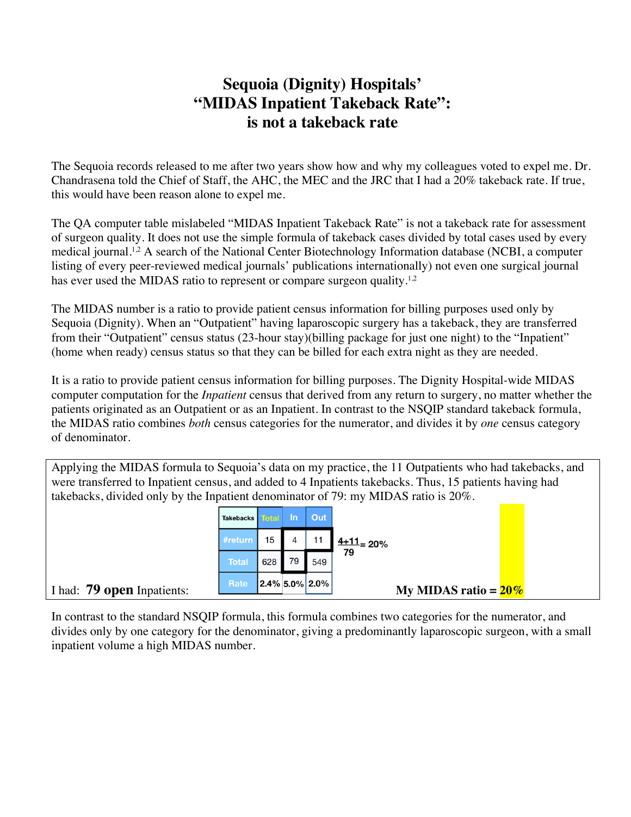## **Sequoia (Dignity) Hospitals' "MIDAS Inpatient Takeback Rate": is not a takeback rate**

The Sequoia records released to me after two years show how and why my colleagues voted to expel me. Dr. Chandrasena told the Chief of Staff, the AHC, the MEC and the JRC that I had a 20% takeback rate. If true, this would have been reason alone to expel me.

The QA computer table mislabeled "MIDAS Inpatient Takeback Rate" is not a takeback rate for assessment of surgeon quality. It does not use the simple formula of takeback cases divided by total cases used by every medical journal.<sup>1,2</sup> A search of the National Center Biotechnology Information database (NCBI, a computer listing of every peer-reviewed medical journals' publications internationally) not even one surgical journal has ever used the MIDAS ratio to represent or compare surgeon quality.<sup>1,2</sup>

The MIDAS number is a ratio to provide patient census information for billing purposes used only by Sequoia (Dignity). When an "Outpatient" having laparoscopic surgery has a takeback, they are transferred from their "Outpatient" census status (23-hour stay)(billing package for just one night) to the "Inpatient" (home when ready) census status so that they can be billed for each extra night as they are needed.

It is a ratio to provide patient census information for billing purposes. The Dignity Hospital-wide MIDAS computer computation for the *Inpatient* census that derived from any return to surgery, no matter whether the patients originated as an Outpatient or as an Inpatient. In contrast to the NSQIP standard takeback formula, the MIDAS ratio combines *both* census categories for the numerator, and divides it by *one* census category of denominator.

Applying the MIDAS formula to Sequoia's data on my practice, the 11 Outpatients who had takebacks, and were transferred to Inpatient census, and added to 4 Inpatients takebacks. Thus, 15 patients having had takebacks, divided only by the Inpatient denominator of 79: my MIDAS ratio is 20%.

|                            | Takebacks    |     | ۸m | Out               |                         |  |
|----------------------------|--------------|-----|----|-------------------|-------------------------|--|
|                            | #return      | 15  |    | 11                | $\frac{4+11}{2}$ 20%    |  |
|                            | <b>Total</b> | 628 | 79 | 549               | 79                      |  |
| I had: 79 open Inpatients: | Rate         |     |    | $2.4\%$ 5.0% 2.0% | My MIDAS ratio = $20\%$ |  |

In contrast to the standard NSQIP formula, this formula combines two categories for the numerator, and divides only by one category for the denominator, giving a predominantly laparoscopic surgeon, with a small inpatient volume a high MIDAS number.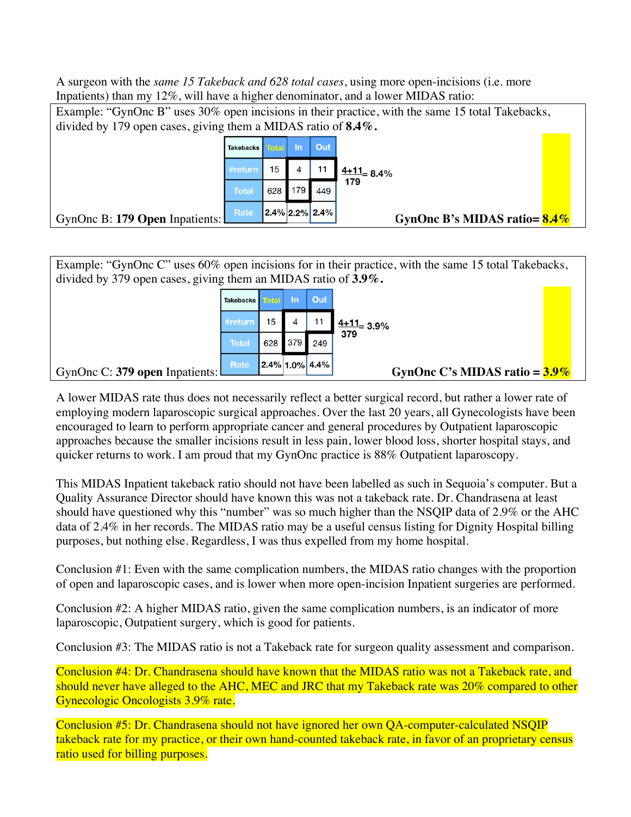A surgeon with the *same 15 Takeback and 628 total cases*, using more open-incisions (i.e. more Inpatients) than my 12%, will have a higher denominator, and a lower MIDAS ratio:

Example: "GynOnc B" uses 30% open incisions in their practice, with the same 15 total Takebacks, divided by 179 open cases, giving them a MIDAS ratio of **8.4%.** Out **Takebacks** In #return 15  $\overline{4}$  $11$  $\frac{4+11}{8}$  8.4% 179 179 628 **Total** 449 GynOnc B: **179 Open** Inpatients: **GynOnc B's MIDAS ratio= 8.4%** 

Example: "GynOnc C" uses 60% open incisions for in their practice, with the same 15 total Takebacks, divided by 379 open cases, giving them an MIDAS ratio of **3.9%.** 



A lower MIDAS rate thus does not necessarily reflect a better surgical record, but rather a lower rate of employing modern laparoscopic surgical approaches. Over the last 20 years, all Gynecologists have been encouraged to learn to perform appropriate cancer and general procedures by Outpatient laparoscopic approaches because the smaller incisions result in less pain, lower blood loss, shorter hospital stays, and quicker returns to work. I am proud that my GynOnc practice is 88% Outpatient laparoscopy.

This MIDAS Inpatient takeback ratio should not have been labelled as such in Sequoia's computer. But a Quality Assurance Director should have known this was not a takeback rate. Dr. Chandrasena at least should have questioned why this "number" was so much higher than the NSQIP data of 2.9% or the AHC data of 2.4% in her records. The MIDAS ratio may be a useful census listing for Dignity Hospital billing purposes, but nothing else. Regardless, I was thus expelled from my home hospital.

Conclusion #1: Even with the same complication numbers, the MIDAS ratio changes with the proportion of open and laparoscopic cases, and is lower when more open-incision Inpatient surgeries are performed.

Conclusion #2: A higher MIDAS ratio, given the same complication numbers, is an indicator of more laparoscopic, Outpatient surgery, which is good for patients.

Conclusion #3: The MIDAS ratio is not a Takeback rate for surgeon quality assessment and comparison.

Conclusion #4: Dr. Chandrasena should have known that the MIDAS ratio was not a Takeback rate, and should never have alleged to the AHC, MEC and JRC that my Takeback rate was 20% compared to other Gynecologic Oncologists 3.9% rate.

Conclusion #5: Dr. Chandrasena should not have ignored her own QA-computer-calculated NSQIP takeback rate for my practice, or their own hand-counted takeback rate, in favor of an proprietary census ratio used for billing purposes.